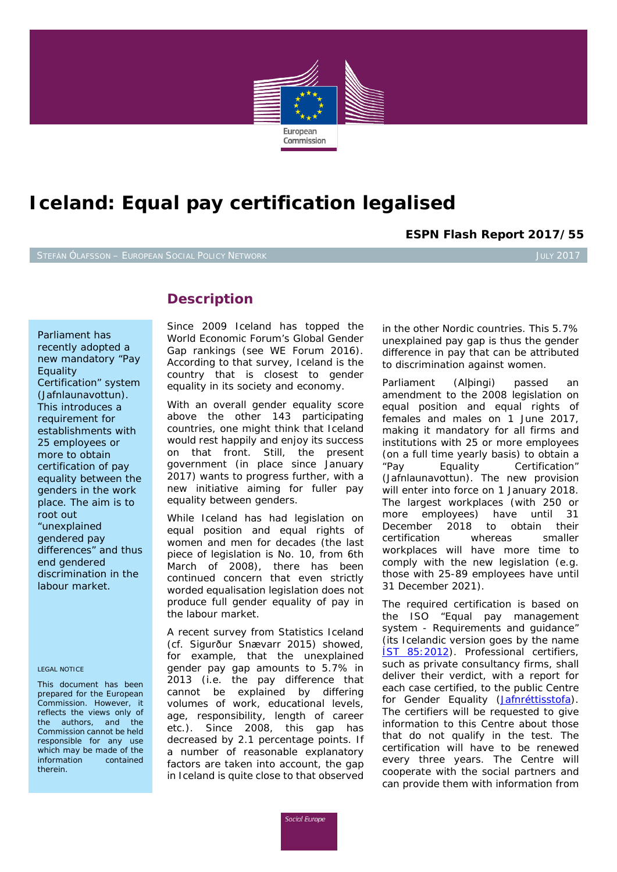

# **Iceland: Equal pay certification legalised**

**ESPN Flash Report 2017/55**

# **Description**

*Parliament has recently adopted a new mandatory "Pay Equality Certification" system (Jafnlaunavottun). This introduces a requirement for establishments with 25 employees or more to obtain certification of pay equality between the genders in the work place. The aim is to root out "unexplained gendered pay differences" and thus end gendered discrimination in the labour market.*

### *LEGAL NOTICE*

*This document has been prepared for the European Commission. However, it reflects the views only of the authors, and the Commission cannot be held responsible for any use which may be made of the information contained therein.*

Since 2009 Iceland has topped the World Economic Forum's *Global Gender Gap* rankings (see WE Forum 2016). According to that survey, Iceland is the country that is closest to gender equality in its society and economy.

With an overall gender equality score above the other 143 participating countries, one might think that Iceland would rest happily and enjoy its success on that front. Still, the present government (in place since January 2017) wants to progress further, with a new initiative aiming for fuller pay equality between genders.

While Iceland has had legislation on equal position and equal rights of women and men for decades (the last piece of legislation is No. 10, from 6th March of 2008), there has been continued concern that even strictly worded equalisation legislation does not produce full gender equality of pay in the labour market.

A recent survey from Statistics Iceland (cf. Sigurður Snævarr 2015) showed, for example, that the unexplained gender pay gap amounts to 5.7% in 2013 (i.e. the pay difference that cannot be explained by differing volumes of work, educational levels, age, responsibility, length of career etc.). Since 2008, this gap has decreased by 2.1 percentage points. If a number of reasonable explanatory factors are taken into account, the gap in Iceland is quite close to that observed in the other Nordic countries. This 5.7% unexplained pay gap is thus the gender difference in pay that can be attributed to discrimination against women.

Parliament (*Alþingi*) passed an amendment to the 2008 legislation on equal position and equal rights of females and males on 1 June 2017, making it mandatory for all firms and institutions with 25 or more employees (on a full time yearly basis) to obtain a "Pay Equality Certification" (*Jafnlaunavottun*). The new provision will enter into force on 1 January 2018. The largest workplaces (with 250 or more employees) have until 31 December 2018 to obtain their certification whereas smaller workplaces will have more time to comply with the new legislation (e.g. those with 25-89 employees have until 31 December 2021).

The required certification is based on the ISO "Equal pay management system - Requirements and guidance" (its Icelandic version goes by the name **IST 85:2012**). Professional certifiers, such as private consultancy firms, shall deliver their verdict, with a report for each case certified, to the public Centre for Gender Equality (*[Jafnréttisstofa](http://www.jafnretti.is/jafnretti/default.aspx)*). The certifiers will be requested to give information to this Centre about those that do not qualify in the test. The certification will have to be renewed every three years. The Centre will cooperate with the social partners and can provide them with information from